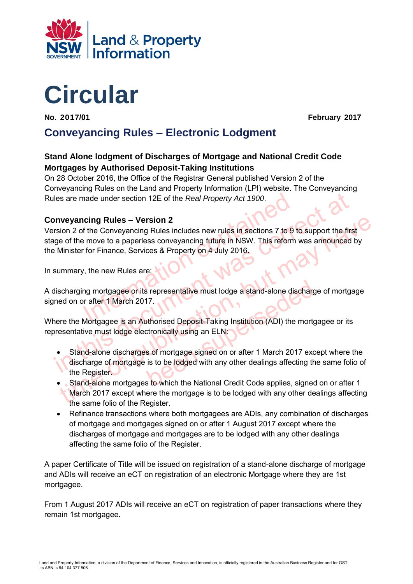



**No. 2017/01 February 2017**

## **Conveyancing Rules – Electronic Lodgment**

## **Stand Alone lodgment of Discharges of Mortgage and National Credit Code Mortgages by Authorised Deposit-Taking Institutions**

On 28 October 2016, the Office of the Registrar General published Version 2 of the Conveyancing Rules on the Land and Property Information (LPI) website. The Conveyancing Rules are made under section 12E of the *Real Property Act 1900*.

## **Conveyancing Rules – Version 2**

made under section 12E of the Real Property Act 1900.<br>
Incing Rules – Version 2<br>
If the Conveyancing Rules includes new rules in sections 7 to 9 the move to a paperless conveyancing future in NSW. This reform<br>
for Finance, Iles are made under section 12E of the *Real Property Act 1900*.<br> **Inveyancing Rules – Version 2**<br>
Irsion 2 of the Conveyancing Rules includes new rules in sections 7 to 9 to support the first<br>
Ige of the move to a paperle Version 2 of the Conveyancing Rules includes new rules in sections 7 to 9 to support the first stage of the move to a paperless conveyancing future in NSW. This reform was announced by the Minister for Finance, Services & Property on 4 July 2016.

In summary, the new Rules are:

A discharging mortgagee or its representative must lodge a stand-alone discharge of mortgage signed on or after 1 March 2017.

Where the Mortgagee is an Authorised Deposit-Taking Institution (ADI) the mortgagee or its representative must lodge electronically using an ELN:

- **The Convergion Rules Version 2**<br>
ion 2 of the Conveyancing Rules in sections 7 to 9 to support the first<br>
ion 2 of the move to a paperless conveyancing future in NSW. This reform was announced by<br>
Minister for Finance, Presentative must lodge a stand-alone discharg<br>
17.<br>
uthorised Deposit-Taking Institution (ADI) the mortg<br>
tronically using an ELN:<br>
s of mortgage signed on or after 1 March 2017 exce<br>
is to be lodged with any other dealin Stand-alone discharges of mortgage signed on or after 1 March 2017 except where the discharge of mortgage is to be lodged with any other dealings affecting the same folio of the Register.
- Stand-alone mortgages to which the National Credit Code applies, signed on or after 1 March 2017 except where the mortgage is to be lodged with any other dealings affecting the same folio of the Register.
- Refinance transactions where both mortgagees are ADIs, any combination of discharges of mortgage and mortgages signed on or after 1 August 2017 except where the discharges of mortgage and mortgages are to be lodged with any other dealings affecting the same folio of the Register.

A paper Certificate of Title will be issued on registration of a stand-alone discharge of mortgage and ADIs will receive an eCT on registration of an electronic Mortgage where they are 1st mortgagee.

From 1 August 2017 ADIs will receive an eCT on registration of paper transactions where they remain 1st mortgagee.